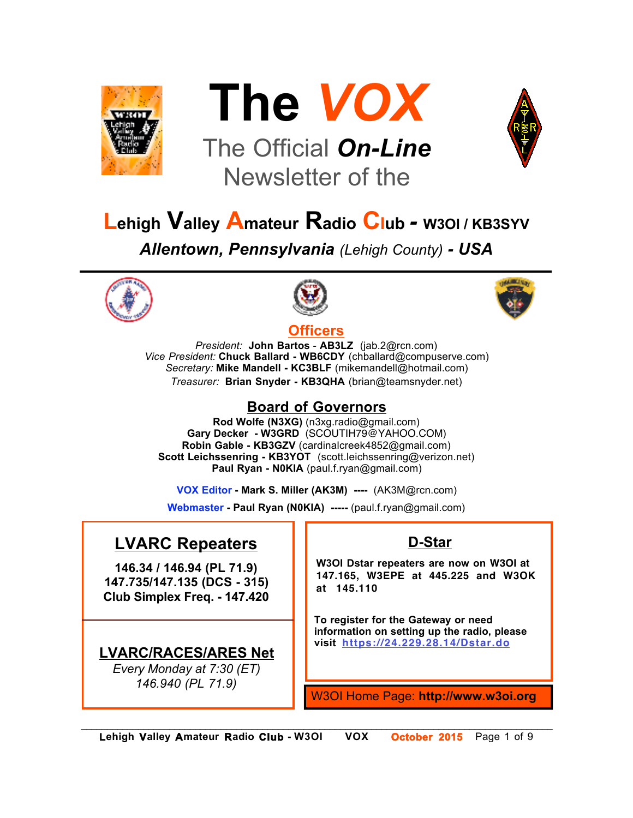



# The Official *On-Line* Newsletter of the



# **Lehigh Valley Amateur Radio Club** *-* **W3OI / KB3SYV**

*Allentown, Pennsylvania (Lehigh County) - USA*





#### **Officers**



*President:* **John Bartos** - **AB3LZ** (jab.2@rcn.com) *Vice President:* **Chuck Ballard - WB6CDY** (chballard@compuserve.com) *Secretary:* **Mike Mandell - KC3BLF** (mikemandell@hotmail.com) *Treasurer:* **Brian Snyder - KB3QHA** (brian@teamsnyder.net)

### **Board of Governors**

**Rod Wolfe (N3XG)** (n3xg.radio@gmail.com) **Gary Decker - W3GRD** (SCOUTIH79@YAHOO.COM) **Robin Gable - KB3GZV** (cardinalcreek4852@gmail.com) **Scott Leichssenring - KB3YOT** (scott.leichssenring@verizon.net) **Paul Ryan - N0KIA** (paul.f.ryan@gmail.com)

**VOX Editor - Mark S. Miller (AK3M) ----** (AK3M@rcn.com)

**Webmaster - Paul Ryan (N0KIA) -----** (paul.f.ryan@gmail.com)

## **LVARC Repeaters**

**146.34 / 146.94 (PL 71.9) 147.735/147.135 (DCS - 315) Club Simplex Freq. - 147.420**

## **LVARC/RACES/ARES Net**

*Every Monday at 7:30 (ET) 146.940 (PL 71.9)*

## **D-Star**

**W3OI Dstar repeaters are now on W3OI at 147.165, W3EPE at 445.225 and W3OK at 145.110**

**To register for the Gateway or need information on setting up the radio, please visit https://24.229.28.14/Dstar.do**

W3OI Home Page: **http://www.w3oi.org**

*\_\_\_\_\_\_\_\_\_\_\_\_\_\_\_\_\_\_\_\_\_\_\_\_\_\_\_\_\_\_\_\_\_\_\_\_\_\_\_\_\_\_\_\_\_\_\_\_\_\_\_\_\_\_\_\_\_\_\_\_\_\_\_\_\_\_\_\_\_\_\_\_\_\_\_\_\_\_\_\_\_\_\_\_\_\_\_\_\_\_\_*  **Lehigh Valley Amateur Radio Club - W3OI VOX October 2015** Page 1 of 9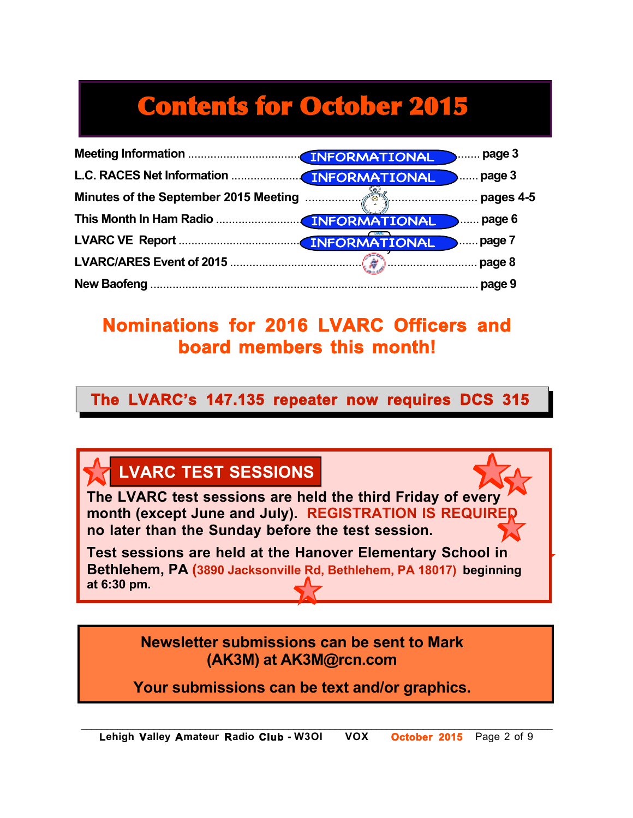# Contents for October 2015

# **Nominations for 2016 LVARC Officers and board members this month!**

**The LVARC's 147.135 repeater now requires DCS 315**

 $\overline{Z}$  A  $\mathbf{r}$ 

# **LVARC TEST SESSIONS**

Program **The LVARC test sessions are held the third Friday of every month (except June and July). REGISTRATION IS REQUIRED no later than the Sunday before the test session.**

**Test sessions are held at the Hanover Elementary School in Bethlehem, PA (3890 Jacksonville Rd, Bethlehem, PA 18017) beginning at 6:30 pm.**

> **Newsletter submissions can be sent to Mark (AK3M) at AK3M@rcn.com**

**Your submissions can be text and/or graphics.**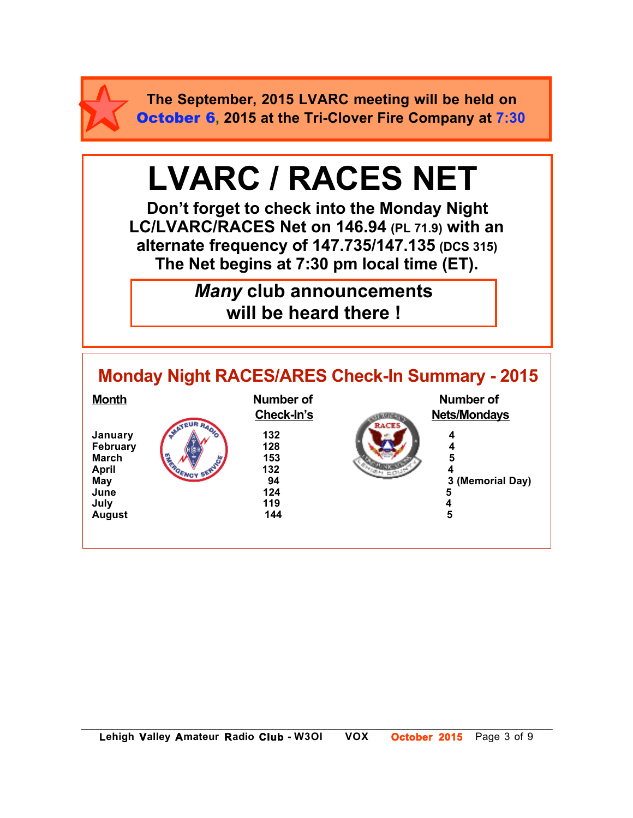

**The September, 2015 LVARC meeting will be held on** October 6**, 2015 at the Tri-Clover Fire Company at 7:30**

# **LVARC / RACES NET**

**Don't forget to check into the Monday Night LC/LVARC/RACES Net on 146.94 (PL 71.9) with an alternate frequency of 147.735/147.135 (DCS 315) The Net begins at 7:30 pm local time (ET).** 

> *Many* **club announcements will be heard there !**

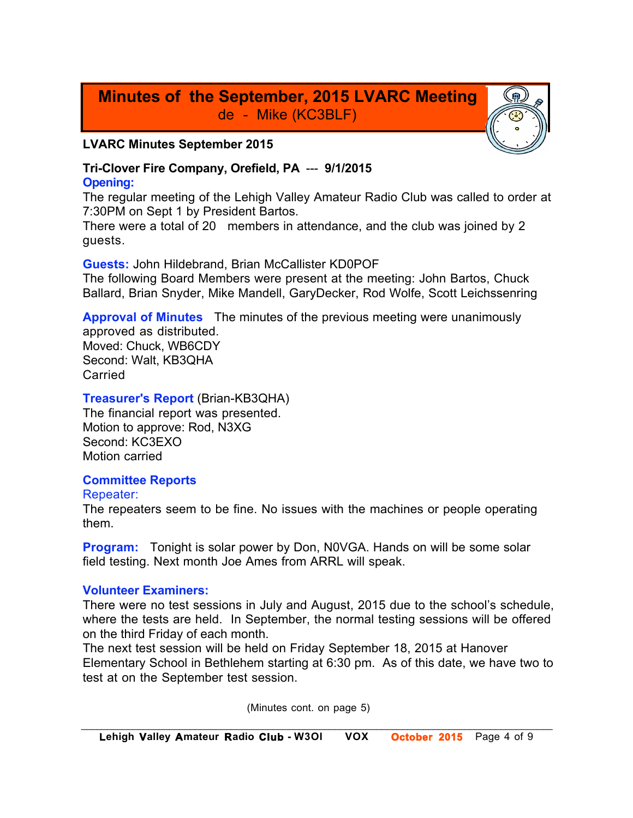## **Minutes of the September, 2015 LVARC Meeting** de - Mike (KC3BLF)

#### **LVARC Minutes September 2015**

#### **Tri-Clover Fire Company, Orefield, PA** --- **9/1/2015 Opening:**

The regular meeting of the Lehigh Valley Amateur Radio Club was called to order at 7:30PM on Sept 1 by President Bartos.

There were a total of 20 members in attendance, and the club was joined by 2 guests.

**Guests:** John Hildebrand, Brian McCallister KD0POF The following Board Members were present at the meeting: John Bartos, Chuck Ballard, Brian Snyder, Mike Mandell, GaryDecker, Rod Wolfe, Scott Leichssenring

**Approval of Minutes** The minutes of the previous meeting were unanimously approved as distributed. Moved: Chuck, WB6CDY Second: Walt, KB3QHA Carried

**Treasurer's Report** (Brian-KB3QHA)

The financial report was presented. Motion to approve: Rod, N3XG Second: KC3EXO Motion carried

#### **Committee Reports**

#### Repeater:

The repeaters seem to be fine. No issues with the machines or people operating them.

**Program:** Tonight is solar power by Don, N0VGA. Hands on will be some solar field testing. Next month Joe Ames from ARRL will speak.

#### **Volunteer Examiners:**

There were no test sessions in July and August, 2015 due to the school's schedule, where the tests are held. In September, the normal testing sessions will be offered on the third Friday of each month.

The next test session will be held on Friday September 18, 2015 at Hanover Elementary School in Bethlehem starting at 6:30 pm. As of this date, we have two to test at on the September test session.

(Minutes cont. on page 5)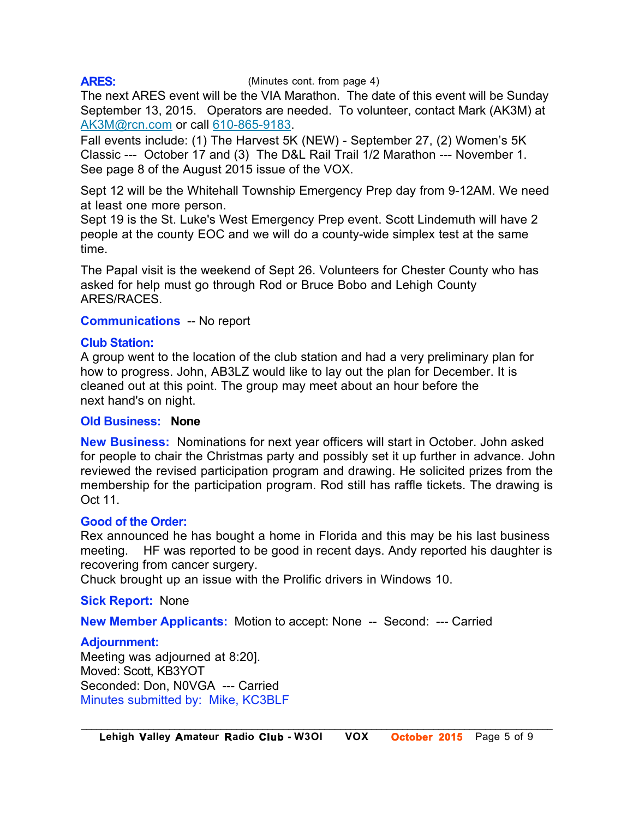#### **ARES:**

#### (Minutes cont. from page 4)

The next ARES event will be the VIA Marathon. The date of this event will be Sunday September 13, 2015. Operators are needed. To volunteer, contact Mark (AK3M) at AK3M@rcn.com or call 610-865-9183.

Fall events include: (1) The Harvest 5K (NEW) - September 27, (2) Women's 5K Classic --- October 17 and (3) The D&L Rail Trail 1/2 Marathon --- November 1. See page 8 of the August 2015 issue of the VOX.

Sept 12 will be the Whitehall Township Emergency Prep day from 9-12AM. We need at least one more person.

Sept 19 is the St. Luke's West Emergency Prep event. Scott Lindemuth will have 2 people at the county EOC and we will do a county-wide simplex test at the same time.

The Papal visit is the weekend of Sept 26. Volunteers for Chester County who has asked for help must go through Rod or Bruce Bobo and Lehigh County ARES/RACES.

#### **Communications** -- No report

#### **Club Station:**

A group went to the location of the club station and had a very preliminary plan for how to progress. John, AB3LZ would like to lay out the plan for December. It is cleaned out at this point. The group may meet about an hour before the next hand's on night.

#### **Old Business: None**

**New Business:** Nominations for next year officers will start in October. John asked for people to chair the Christmas party and possibly set it up further in advance. John reviewed the revised participation program and drawing. He solicited prizes from the membership for the participation program. Rod still has raffle tickets. The drawing is Oct 11.

#### **Good of the Order:**

Rex announced he has bought a home in Florida and this may be his last business meeting. HF was reported to be good in recent days. Andy reported his daughter is recovering from cancer surgery.

Chuck brought up an issue with the Prolific drivers in Windows 10.

**Sick Report:** None

**New Member Applicants:** Motion to accept: None -- Second: --- Carried

#### **Adjournment:**

Meeting was adjourned at 8:20]. Moved: Scott, KB3YOT Seconded: Don, N0VGA --- Carried Minutes submitted by: Mike, KC3BLF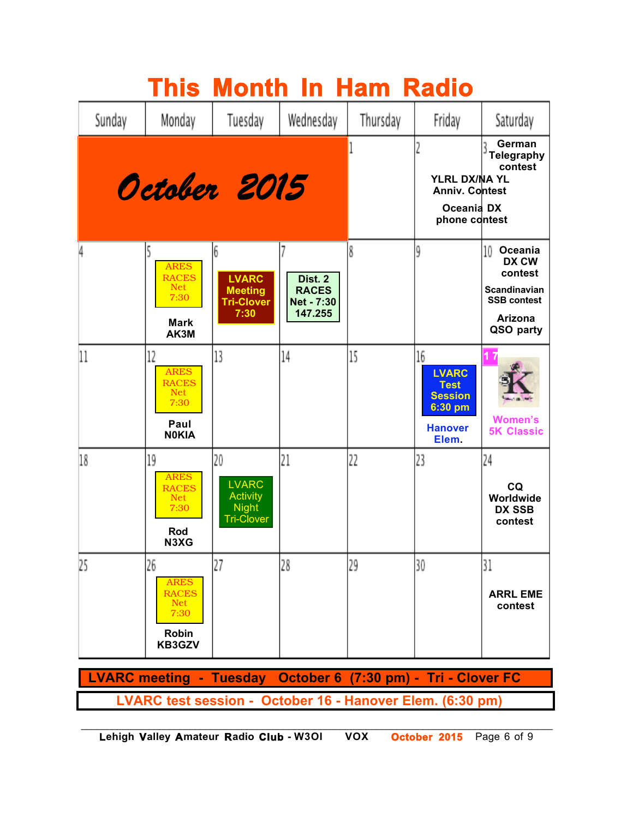|        |                                                                                   |                                                                            | <b>This Month In Ham Radio</b>                   |          |                                                                                           |                                                                                                        |
|--------|-----------------------------------------------------------------------------------|----------------------------------------------------------------------------|--------------------------------------------------|----------|-------------------------------------------------------------------------------------------|--------------------------------------------------------------------------------------------------------|
| Sunday | Monday                                                                            | Tuesday                                                                    | Wednesday                                        | Thursday | Friday                                                                                    | Saturday                                                                                               |
|        |                                                                                   | October 2015                                                               |                                                  |          | YLRL DX/NA YL<br>Anniv. Contest<br>Oceania DX<br>phone contest                            | German<br><b>Telegraphy</b><br>contest                                                                 |
| 4      | <b>ARES</b><br><b>RACES</b><br><b>Net</b><br>7:30<br><b>Mark</b><br>AK3M          | 6<br><b>LVARC</b><br><b>Meeting</b><br><b>Tri-Clover</b><br>7:30           | Dist. 2<br><b>RACES</b><br>Net - 7:30<br>147.255 | 8        | 9                                                                                         | 10<br>Oceania<br>DX CW<br>contest<br>Scandinavian<br><b>SSB contest</b><br><b>Arizona</b><br>QSO party |
| 11     | 12<br><b>ARES</b><br><b>RACES</b><br>Net<br>7:30<br>Paul<br><b>NOKIA</b>          | 13                                                                         | 14                                               | 15       | 16<br><b>LVARC</b><br><b>Test</b><br><b>Session</b><br>6:30 pm<br><b>Hanover</b><br>Elem. | <b>Women's</b><br><b>5K Classic</b>                                                                    |
| 18     | 19<br><b>ARES</b><br><b>RACES</b><br><b>Net</b><br>7:30<br>Rod<br>N3XG            | 20<br><b>LVARC</b><br><b>Activity</b><br><b>Night</b><br><b>Tri-Clover</b> | 21                                               | 22       | 23                                                                                        | 24<br>CQ<br>Worldwide<br><b>DX SSB</b><br>contest                                                      |
| 25     | 26<br><b>ARES</b><br><b>RACES</b><br><b>Net</b><br>7:30<br><b>Robin</b><br>KB3GZV | 27                                                                         | 28                                               | 29       | 30                                                                                        | 31<br><b>ARRL EME</b><br>contest                                                                       |

 **LVARC meeting - Tuesday October 6 (7:30 pm) - Tri - Clover FC LVARC test session - October 16 - Hanover Elem. (6:30 pm)**

*\_\_\_\_\_\_\_\_\_\_\_\_\_\_\_\_\_\_\_\_\_\_\_\_\_\_\_\_\_\_\_\_\_\_\_\_\_\_\_\_\_\_\_\_\_\_\_\_\_\_\_\_\_\_\_\_\_\_\_\_\_\_\_\_\_\_\_\_\_\_\_\_\_\_\_\_\_\_\_\_\_\_\_\_\_\_\_\_\_\_\_*  **Lehigh Valley Amateur Radio Club - W3OI VOX October 2015** Page 6 of 9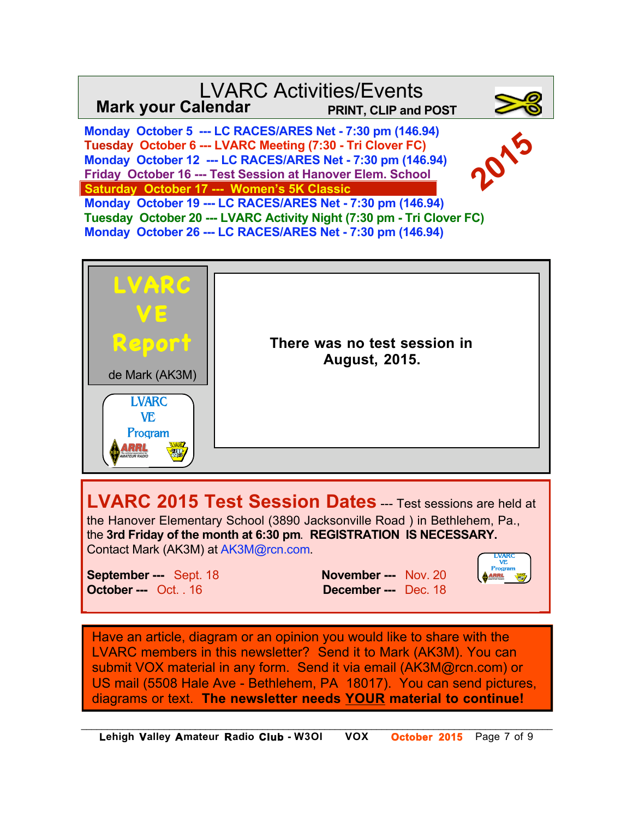## LVARC Activities/Events **Mark your Calendar PRINT, CLIP and POST**

 **Monday October 5 --- LC RACES/ARES Net - 7:30 pm (146.94) Tuesday October 6 --- LVARC Meeting (7:30 - Tri Clover FC) Monday October 12 --- LC RACES/ARES Net - 7:30 pm (146.94) Friday October 16 --- Test Session at Hanover Elem. School Saturday October 17 --- Women's 5K Classic**



 **Monday October 19 --- LC RACES/ARES Net - 7:30 pm (146.94) Tuesday October 20 --- LVARC Activity Night (7:30 pm - Tri Clover FC) Monday October 26 --- LC RACES/ARES Net - 7:30 pm (146.94)** 



**LVARC 2015 Test Session Dates** --- Test sessions are held at the Hanover Elementary School (3890 Jacksonville Road ) in Bethlehem, Pa., the **3rd Friday of the month at 6:30 pm**. **REGISTRATION IS NECESSARY.**  Contact Mark (AK3M) at AK3M@rcn.com.

**October ---** Oct. . 16 **December ---** Dec. 18

**September ---** Sept. 18 **November ---** Nov. 20



Have an article, diagram or an opinion you would like to share with the LVARC members in this newsletter? Send it to Mark (AK3M). You can submit VOX material in any form. Send it via email (AK3M@rcn.com) or US mail (5508 Hale Ave - Bethlehem, PA 18017). You can send pictures, diagrams or text. **The newsletter needs YOUR material to continue!**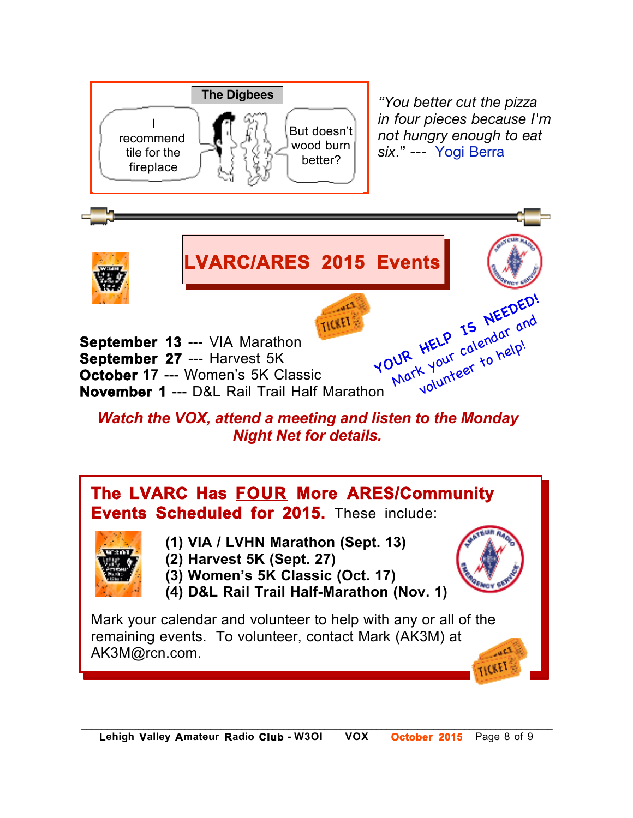

*"You better cut the pizza in four pieces because I'm not hungry enough to eat six*." --- Yogi Berra



*Night Net for details.*

## **The LVARC Has FOUR More ARES/Community Events Scheduled for 2015.** These include:



- **(1) VIA / LVHN Marathon (Sept. 13)**
- **N0KIA (2) Harvest 5K (Sept. 27)**
- **(3) Women's 5K Classic (Oct. 17)**
- **(4) D&L Rail Trail Half-Marathon (Nov. 1)**

Mark your calendar and volunteer to help with any or all of the remaining events. To volunteer, contact Mark (AK3M) at  $\sim$ AK3M@rcn.com. TICKET